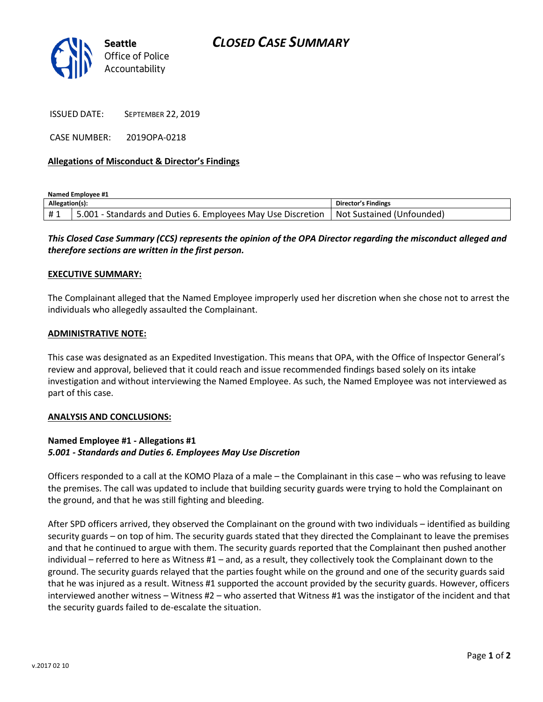# *CLOSED CASE SUMMARY*



ISSUED DATE: SEPTEMBER 22, 2019

CASE NUMBER: 2019OPA-0218

### **Allegations of Misconduct & Director's Findings**

**Named Employee #1**

| Allegation(s): |                                                              | Director's Findings              |
|----------------|--------------------------------------------------------------|----------------------------------|
| #1             | 5.001 - Standards and Duties 6. Employees May Use Discretion | <b>Not Sustained (Unfounded)</b> |

## *This Closed Case Summary (CCS) represents the opinion of the OPA Director regarding the misconduct alleged and therefore sections are written in the first person.*

#### **EXECUTIVE SUMMARY:**

The Complainant alleged that the Named Employee improperly used her discretion when she chose not to arrest the individuals who allegedly assaulted the Complainant.

#### **ADMINISTRATIVE NOTE:**

This case was designated as an Expedited Investigation. This means that OPA, with the Office of Inspector General's review and approval, believed that it could reach and issue recommended findings based solely on its intake investigation and without interviewing the Named Employee. As such, the Named Employee was not interviewed as part of this case.

#### **ANALYSIS AND CONCLUSIONS:**

### **Named Employee #1 - Allegations #1** *5.001 - Standards and Duties 6. Employees May Use Discretion*

Officers responded to a call at the KOMO Plaza of a male – the Complainant in this case – who was refusing to leave the premises. The call was updated to include that building security guards were trying to hold the Complainant on the ground, and that he was still fighting and bleeding.

After SPD officers arrived, they observed the Complainant on the ground with two individuals – identified as building security guards – on top of him. The security guards stated that they directed the Complainant to leave the premises and that he continued to argue with them. The security guards reported that the Complainant then pushed another individual – referred to here as Witness #1 – and, as a result, they collectively took the Complainant down to the ground. The security guards relayed that the parties fought while on the ground and one of the security guards said that he was injured as a result. Witness #1 supported the account provided by the security guards. However, officers interviewed another witness – Witness #2 – who asserted that Witness #1 was the instigator of the incident and that the security guards failed to de-escalate the situation.